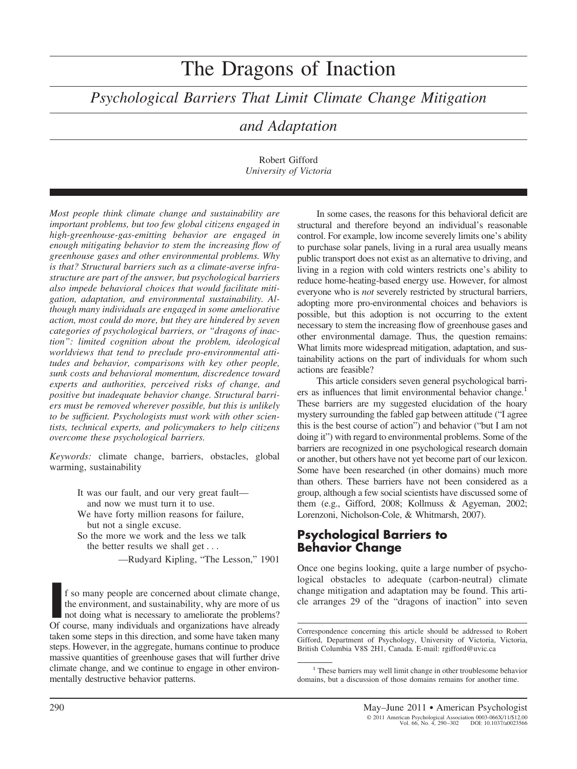# The Dragons of Inaction

## *Psychological Barriers That Limit Climate Change Mitigation*

## *and Adaptation*

Robert Gifford *University of Victoria*

*Most people think climate change and sustainability are important problems, but too few global citizens engaged in high-greenhouse-gas-emitting behavior are engaged in enough mitigating behavior to stem the increasing flow of greenhouse gases and other environmental problems. Why is that? Structural barriers such as a climate-averse infrastructure are part of the answer, but psychological barriers also impede behavioral choices that would facilitate mitigation, adaptation, and environmental sustainability. Although many individuals are engaged in some ameliorative action, most could do more, but they are hindered by seven categories of psychological barriers, or "dragons of inaction": limited cognition about the problem, ideological worldviews that tend to preclude pro-environmental attitudes and behavior, comparisons with key other people, sunk costs and behavioral momentum, discredence toward experts and authorities, perceived risks of change, and positive but inadequate behavior change. Structural barriers must be removed wherever possible, but this is unlikely to be sufficient. Psychologists must work with other scientists, technical experts, and policymakers to help citizens overcome these psychological barriers.*

*Keywords:* climate change, barriers, obstacles, global warming, sustainability

> It was our fault, and our very great fault and now we must turn it to use.

We have forty million reasons for failure, but not a single excuse.

So the more we work and the less we talk the better results we shall get...

—Rudyard Kipling, "The Lesson," 1901

**I** so many people are concerned about climate change, the environment, and sustainability, why are more of us not doing what is necessary to ameliorate the problems? Of course, many individuals and organizations have alre f so many people are concerned about climate change, the environment, and sustainability, why are more of us not doing what is necessary to ameliorate the problems? taken some steps in this direction, and some have taken many steps. However, in the aggregate, humans continue to produce massive quantities of greenhouse gases that will further drive climate change, and we continue to engage in other environmentally destructive behavior patterns.

In some cases, the reasons for this behavioral deficit are structural and therefore beyond an individual's reasonable control. For example, low income severely limits one's ability to purchase solar panels, living in a rural area usually means public transport does not exist as an alternative to driving, and living in a region with cold winters restricts one's ability to reduce home-heating-based energy use. However, for almost everyone who is *not* severely restricted by structural barriers, adopting more pro-environmental choices and behaviors is possible, but this adoption is not occurring to the extent necessary to stem the increasing flow of greenhouse gases and other environmental damage. Thus, the question remains: What limits more widespread mitigation, adaptation, and sustainability actions on the part of individuals for whom such actions are feasible?

This article considers seven general psychological barriers as influences that limit environmental behavior change.<sup>1</sup> These barriers are my suggested elucidation of the hoary mystery surrounding the fabled gap between attitude ("I agree this is the best course of action") and behavior ("but I am not doing it") with regard to environmental problems. Some of the barriers are recognized in one psychological research domain or another, but others have not yet become part of our lexicon. Some have been researched (in other domains) much more than others. These barriers have not been considered as a group, although a few social scientists have discussed some of them (e.g., Gifford, 2008; Kollmuss & Agyeman, 2002; Lorenzoni, Nicholson-Cole, & Whitmarsh, 2007).

### **Psychological Barriers to Behavior Change**

Once one begins looking, quite a large number of psychological obstacles to adequate (carbon-neutral) climate change mitigation and adaptation may be found. This article arranges 29 of the "dragons of inaction" into seven

Correspondence concerning this article should be addressed to Robert Gifford, Department of Psychology, University of Victoria, Victoria, British Columbia V8S 2H1, Canada. E-mail: rgifford@uvic.ca

 $^{\rm 1}$  These barriers may well limit change in other troublesome behavior domains, but a discussion of those domains remains for another time.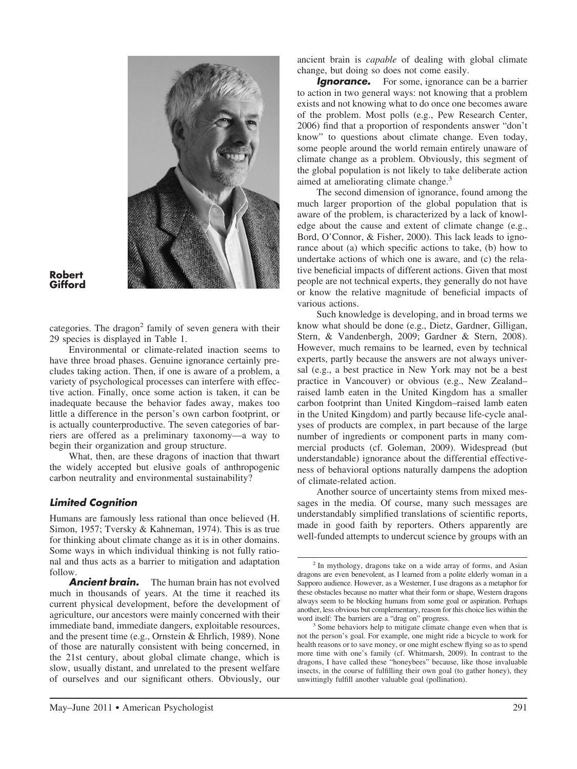

#### **Robert Gifford**

categories. The dragon<sup>2</sup> family of seven genera with their 29 species is displayed in Table 1.

Environmental or climate-related inaction seems to have three broad phases. Genuine ignorance certainly precludes taking action. Then, if one is aware of a problem, a variety of psychological processes can interfere with effective action. Finally, once some action is taken, it can be inadequate because the behavior fades away, makes too little a difference in the person's own carbon footprint, or is actually counterproductive. The seven categories of barriers are offered as a preliminary taxonomy—a way to begin their organization and group structure.

What, then, are these dragons of inaction that thwart the widely accepted but elusive goals of anthropogenic carbon neutrality and environmental sustainability?

#### *Limited Cognition*

Humans are famously less rational than once believed (H. Simon, 1957; Tversky & Kahneman, 1974). This is as true for thinking about climate change as it is in other domains. Some ways in which individual thinking is not fully rational and thus acts as a barrier to mitigation and adaptation follow.

**Ancient brain.** The human brain has not evolved much in thousands of years. At the time it reached its current physical development, before the development of agriculture, our ancestors were mainly concerned with their immediate band, immediate dangers, exploitable resources, and the present time (e.g., Ornstein & Ehrlich, 1989). None of those are naturally consistent with being concerned, in the 21st century, about global climate change, which is slow, usually distant, and unrelated to the present welfare of ourselves and our significant others. Obviously, our

ancient brain is *capable* of dealing with global climate change, but doing so does not come easily.

*Ignorance.* For some, ignorance can be a barrier to action in two general ways: not knowing that a problem exists and not knowing what to do once one becomes aware of the problem. Most polls (e.g., Pew Research Center, 2006) find that a proportion of respondents answer "don't know" to questions about climate change. Even today, some people around the world remain entirely unaware of climate change as a problem. Obviously, this segment of the global population is not likely to take deliberate action aimed at ameliorating climate change.<sup>3</sup>

The second dimension of ignorance, found among the much larger proportion of the global population that is aware of the problem, is characterized by a lack of knowledge about the cause and extent of climate change (e.g., Bord, O'Connor, & Fisher, 2000). This lack leads to ignorance about (a) which specific actions to take, (b) how to undertake actions of which one is aware, and (c) the relative beneficial impacts of different actions. Given that most people are not technical experts, they generally do not have or know the relative magnitude of beneficial impacts of various actions.

Such knowledge is developing, and in broad terms we know what should be done (e.g., Dietz, Gardner, Gilligan, Stern, & Vandenbergh, 2009; Gardner & Stern, 2008). However, much remains to be learned, even by technical experts, partly because the answers are not always universal (e.g., a best practice in New York may not be a best practice in Vancouver) or obvious (e.g., New Zealand– raised lamb eaten in the United Kingdom has a smaller carbon footprint than United Kingdom–raised lamb eaten in the United Kingdom) and partly because life-cycle analyses of products are complex, in part because of the large number of ingredients or component parts in many commercial products (cf. Goleman, 2009). Widespread (but understandable) ignorance about the differential effectiveness of behavioral options naturally dampens the adoption of climate-related action.

Another source of uncertainty stems from mixed messages in the media. Of course, many such messages are understandably simplified translations of scientific reports, made in good faith by reporters. Others apparently are well-funded attempts to undercut science by groups with an

<sup>2</sup> In mythology, dragons take on a wide array of forms, and Asian dragons are even benevolent, as I learned from a polite elderly woman in a Sapporo audience. However, as a Westerner, I use dragons as a metaphor for these obstacles because no matter what their form or shape, Western dragons always seem to be blocking humans from some goal or aspiration. Perhaps another, less obvious but complementary, reason for this choice lies within the

Some behaviors help to mitigate climate change even when that is not the person's goal. For example, one might ride a bicycle to work for health reasons or to save money, or one might eschew flying so as to spend more time with one's family (cf. Whitmarsh, 2009). In contrast to the dragons, I have called these "honeybees" because, like those invaluable insects, in the course of fulfilling their own goal (to gather honey), they unwittingly fulfill another valuable goal (pollination).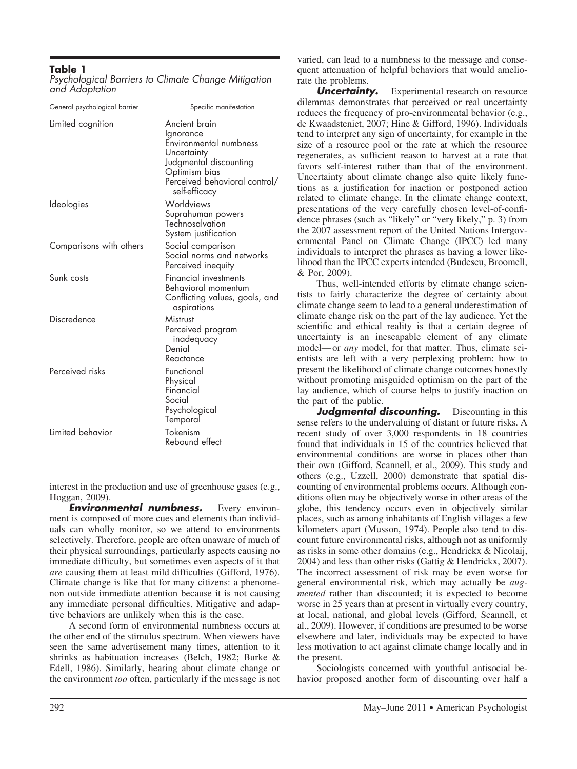| General psychological barrier | Specific manifestation                                                                                                                                           |
|-------------------------------|------------------------------------------------------------------------------------------------------------------------------------------------------------------|
| Limited cognition             | Ancient brain<br>Ignorance<br>Environmental numbness<br>Uncertainty<br>Judgmental discounting<br>Optimism bias<br>Perceived behavioral control/<br>self-efficacy |
| Ideologies                    | Worldviews<br>Suprahuman powers<br>Technosalvation<br>System justification                                                                                       |
| Comparisons with others       | Social comparison<br>Social norms and networks<br>Perceived inequity                                                                                             |
| Sunk costs                    | Financial investments<br>Behavioral momentum<br>Conflicting values, goals, and<br>aspirations                                                                    |
| Discredence                   | Mistrust<br>Perceived program<br>inadequacy<br>Denial<br>Reactance                                                                                               |
| Perceived risks               | Functional<br>Physical<br>Financial<br>Social<br>Psychological<br>Temporal                                                                                       |
| Limited behavior              | Tokenism<br>Rebound effect                                                                                                                                       |

**Table 1** *Psychological Barriers to Climate Change Mitigation and Adaptation*

interest in the production and use of greenhouse gases (e.g., Hoggan, 2009).

*Environmental numbness.* Every environment is composed of more cues and elements than individuals can wholly monitor, so we attend to environments selectively. Therefore, people are often unaware of much of their physical surroundings, particularly aspects causing no immediate difficulty, but sometimes even aspects of it that *are* causing them at least mild difficulties (Gifford, 1976). Climate change is like that for many citizens: a phenomenon outside immediate attention because it is not causing any immediate personal difficulties. Mitigative and adaptive behaviors are unlikely when this is the case.

A second form of environmental numbness occurs at the other end of the stimulus spectrum. When viewers have seen the same advertisement many times, attention to it shrinks as habituation increases (Belch, 1982; Burke & Edell, 1986). Similarly, hearing about climate change or the environment *too* often, particularly if the message is not

varied, can lead to a numbness to the message and consequent attenuation of helpful behaviors that would ameliorate the problems.

**Uncertainty.** Experimental research on resource dilemmas demonstrates that perceived or real uncertainty reduces the frequency of pro-environmental behavior (e.g., de Kwaadsteniet, 2007; Hine & Gifford, 1996). Individuals tend to interpret any sign of uncertainty, for example in the size of a resource pool or the rate at which the resource regenerates, as sufficient reason to harvest at a rate that favors self-interest rather than that of the environment. Uncertainty about climate change also quite likely functions as a justification for inaction or postponed action related to climate change. In the climate change context, presentations of the very carefully chosen level-of-confidence phrases (such as "likely" or "very likely," p. 3) from the 2007 assessment report of the United Nations Intergovernmental Panel on Climate Change (IPCC) led many individuals to interpret the phrases as having a lower likelihood than the IPCC experts intended (Budescu, Broomell, & Por, 2009).

Thus, well-intended efforts by climate change scientists to fairly characterize the degree of certainty about climate change seem to lead to a general underestimation of climate change risk on the part of the lay audience. Yet the scientific and ethical reality is that a certain degree of uncertainty is an inescapable element of any climate model—or *any* model, for that matter. Thus, climate scientists are left with a very perplexing problem: how to present the likelihood of climate change outcomes honestly without promoting misguided optimism on the part of the lay audience, which of course helps to justify inaction on the part of the public.

*Judgmental discounting.* Discounting in this sense refers to the undervaluing of distant or future risks. A recent study of over 3,000 respondents in 18 countries found that individuals in 15 of the countries believed that environmental conditions are worse in places other than their own (Gifford, Scannell, et al., 2009). This study and others (e.g., Uzzell, 2000) demonstrate that spatial discounting of environmental problems occurs. Although conditions often may be objectively worse in other areas of the globe, this tendency occurs even in objectively similar places, such as among inhabitants of English villages a few kilometers apart (Musson, 1974). People also tend to discount future environmental risks, although not as uniformly as risks in some other domains (e.g., Hendrickx & Nicolaij, 2004) and less than other risks (Gattig & Hendrickx, 2007). The incorrect assessment of risk may be even worse for general environmental risk, which may actually be *augmented* rather than discounted; it is expected to become worse in 25 years than at present in virtually every country, at local, national, and global levels (Gifford, Scannell, et al., 2009). However, if conditions are presumed to be worse elsewhere and later, individuals may be expected to have less motivation to act against climate change locally and in the present.

Sociologists concerned with youthful antisocial behavior proposed another form of discounting over half a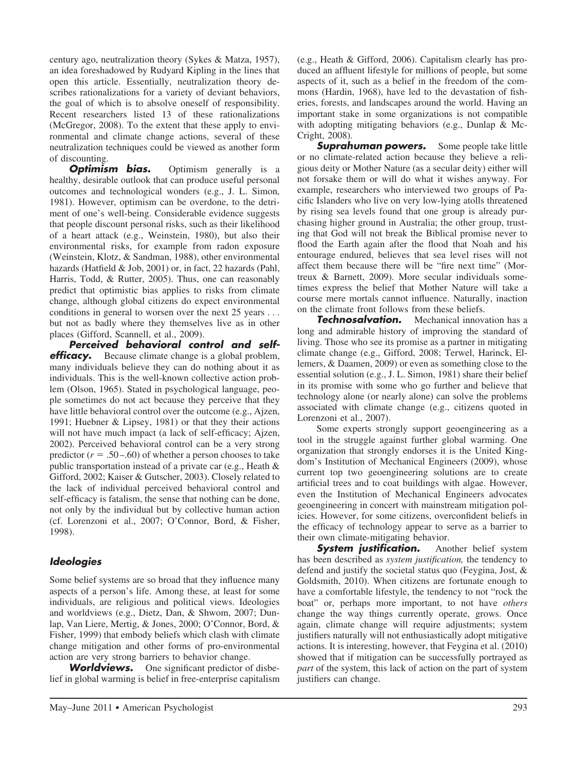century ago, neutralization theory (Sykes & Matza, 1957), an idea foreshadowed by Rudyard Kipling in the lines that open this article. Essentially, neutralization theory describes rationalizations for a variety of deviant behaviors, the goal of which is to absolve oneself of responsibility. Recent researchers listed 13 of these rationalizations (McGregor, 2008). To the extent that these apply to environmental and climate change actions, several of these neutralization techniques could be viewed as another form of discounting.

**Optimism bias.** Optimism generally is a healthy, desirable outlook that can produce useful personal outcomes and technological wonders (e.g., J. L. Simon, 1981). However, optimism can be overdone, to the detriment of one's well-being. Considerable evidence suggests that people discount personal risks, such as their likelihood of a heart attack (e.g., Weinstein, 1980), but also their environmental risks, for example from radon exposure (Weinstein, Klotz, & Sandman, 1988), other environmental hazards (Hatfield & Job, 2001) or, in fact, 22 hazards (Pahl, Harris, Todd, & Rutter, 2005). Thus, one can reasonably predict that optimistic bias applies to risks from climate change, although global citizens do expect environmental conditions in general to worsen over the next 25 years . . . but not as badly where they themselves live as in other places (Gifford, Scannell, et al., 2009).

*Perceived behavioral control and selfefficacy.* Because climate change is a global problem, many individuals believe they can do nothing about it as individuals. This is the well-known collective action problem (Olson, 1965). Stated in psychological language, people sometimes do not act because they perceive that they have little behavioral control over the outcome (e.g., Ajzen, 1991; Huebner & Lipsey, 1981) or that they their actions will not have much impact (a lack of self-efficacy; Ajzen, 2002). Perceived behavioral control can be a very strong predictor  $(r = .50 - .60)$  of whether a person chooses to take public transportation instead of a private car (e.g., Heath & Gifford, 2002; Kaiser & Gutscher, 2003). Closely related to the lack of individual perceived behavioral control and self-efficacy is fatalism, the sense that nothing can be done, not only by the individual but by collective human action (cf. Lorenzoni et al., 2007; O'Connor, Bord, & Fisher, 1998).

#### *Ideologies*

Some belief systems are so broad that they influence many aspects of a person's life. Among these, at least for some individuals, are religious and political views. Ideologies and worldviews (e.g., Dietz, Dan, & Shwom, 2007; Dunlap, Van Liere, Mertig, & Jones, 2000; O'Connor, Bord, & Fisher, 1999) that embody beliefs which clash with climate change mitigation and other forms of pro-environmental action are very strong barriers to behavior change.

*Worldviews.* One significant predictor of disbelief in global warming is belief in free-enterprise capitalism (e.g., Heath & Gifford, 2006). Capitalism clearly has produced an affluent lifestyle for millions of people, but some aspects of it, such as a belief in the freedom of the commons (Hardin, 1968), have led to the devastation of fisheries, forests, and landscapes around the world. Having an important stake in some organizations is not compatible with adopting mitigating behaviors (e.g., Dunlap & Mc-Cright, 2008).

*Suprahuman powers.* Some people take little or no climate-related action because they believe a religious deity or Mother Nature (as a secular deity) either will not forsake them or will do what it wishes anyway. For example, researchers who interviewed two groups of Pacific Islanders who live on very low-lying atolls threatened by rising sea levels found that one group is already purchasing higher ground in Australia; the other group, trusting that God will not break the Biblical promise never to flood the Earth again after the flood that Noah and his entourage endured, believes that sea level rises will not affect them because there will be "fire next time" (Mortreux & Barnett, 2009). More secular individuals sometimes express the belief that Mother Nature will take a course mere mortals cannot influence. Naturally, inaction on the climate front follows from these beliefs.

*Technosalvation.* Mechanical innovation has a long and admirable history of improving the standard of living. Those who see its promise as a partner in mitigating climate change (e.g., Gifford, 2008; Terwel, Harinck, Ellemers, & Daamen, 2009) or even as something close to the essential solution (e.g., J. L. Simon, 1981) share their belief in its promise with some who go further and believe that technology alone (or nearly alone) can solve the problems associated with climate change (e.g., citizens quoted in Lorenzoni et al., 2007).

Some experts strongly support geoengineering as a tool in the struggle against further global warming. One organization that strongly endorses it is the United Kingdom's Institution of Mechanical Engineers (2009), whose current top two geoengineering solutions are to create artificial trees and to coat buildings with algae. However, even the Institution of Mechanical Engineers advocates geoengineering in concert with mainstream mitigation policies. However, for some citizens, overconfident beliefs in the efficacy of technology appear to serve as a barrier to their own climate-mitigating behavior.

**System justification.** Another belief system has been described as *system justification,* the tendency to defend and justify the societal status quo (Feygina, Jost, & Goldsmith, 2010). When citizens are fortunate enough to have a comfortable lifestyle, the tendency to not "rock the boat" or, perhaps more important, to not have *others* change the way things currently operate, grows. Once again, climate change will require adjustments; system justifiers naturally will not enthusiastically adopt mitigative actions. It is interesting, however, that Feygina et al. (2010) showed that if mitigation can be successfully portrayed as *part* of the system, this lack of action on the part of system justifiers can change.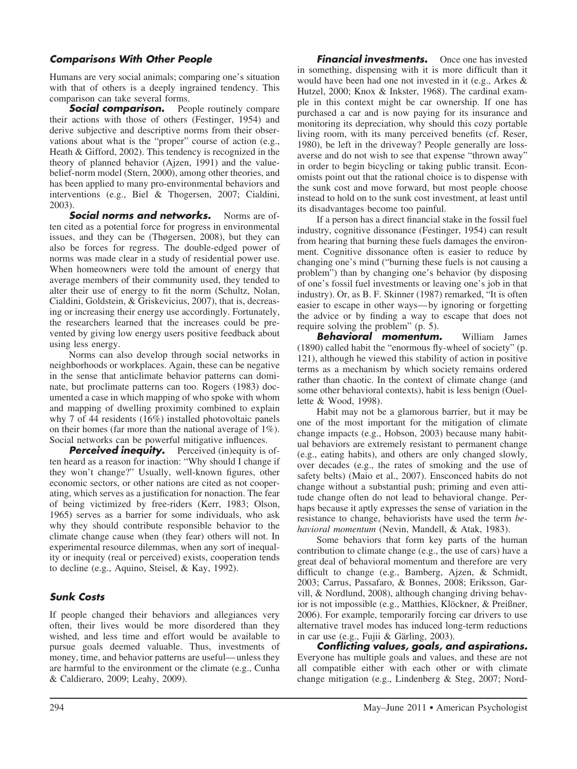#### *Comparisons With Other People*

Humans are very social animals; comparing one's situation with that of others is a deeply ingrained tendency. This

comparison can take several forms.<br>**Social comparison.** Pec People routinely compare their actions with those of others (Festinger, 1954) and derive subjective and descriptive norms from their observations about what is the "proper" course of action (e.g., Heath & Gifford, 2002). This tendency is recognized in the theory of planned behavior (Ajzen, 1991) and the valuebelief-norm model (Stern, 2000), among other theories, and has been applied to many pro-environmental behaviors and interventions (e.g., Biel & Thogersen, 2007; Cialdini, 2003).

**Social norms and networks.** Norms are often cited as a potential force for progress in environmental issues, and they can be (Thøgersen, 2008), but they can also be forces for regress. The double-edged power of norms was made clear in a study of residential power use. When homeowners were told the amount of energy that average members of their community used, they tended to alter their use of energy to fit the norm (Schultz, Nolan, Cialdini, Goldstein, & Griskevicius, 2007), that is, decreasing or increasing their energy use accordingly. Fortunately, the researchers learned that the increases could be prevented by giving low energy users positive feedback about using less energy.

Norms can also develop through social networks in neighborhoods or workplaces. Again, these can be negative in the sense that anticlimate behavior patterns can dominate, but proclimate patterns can too. Rogers (1983) documented a case in which mapping of who spoke with whom and mapping of dwelling proximity combined to explain why 7 of 44 residents (16%) installed photovoltaic panels on their homes (far more than the national average of 1%). Social networks can be powerful mitigative influences.

**Perceived inequity.** Perceived (in)equity is often heard as a reason for inaction: "Why should I change if they won't change?" Usually, well-known figures, other economic sectors, or other nations are cited as not cooperating, which serves as a justification for nonaction. The fear of being victimized by free-riders (Kerr, 1983; Olson, 1965) serves as a barrier for some individuals, who ask why they should contribute responsible behavior to the climate change cause when (they fear) others will not. In experimental resource dilemmas, when any sort of inequality or inequity (real or perceived) exists, cooperation tends to decline (e.g., Aquino, Steisel, & Kay, 1992).

#### *Sunk Costs*

If people changed their behaviors and allegiances very often, their lives would be more disordered than they wished, and less time and effort would be available to pursue goals deemed valuable. Thus, investments of money, time, and behavior patterns are useful—unless they are harmful to the environment or the climate (e.g., Cunha & Caldieraro, 2009; Leahy, 2009).

**Financial investments.** Once one has invested in something, dispensing with it is more difficult than it would have been had one not invested in it (e.g., Arkes & Hutzel, 2000; Knox & Inkster, 1968). The cardinal example in this context might be car ownership. If one has purchased a car and is now paying for its insurance and monitoring its depreciation, why should this cozy portable living room, with its many perceived benefits (cf. Reser, 1980), be left in the driveway? People generally are lossaverse and do not wish to see that expense "thrown away" in order to begin bicycling or taking public transit. Economists point out that the rational choice is to dispense with the sunk cost and move forward, but most people choose instead to hold on to the sunk cost investment, at least until its disadvantages become too painful.

If a person has a direct financial stake in the fossil fuel industry, cognitive dissonance (Festinger, 1954) can result from hearing that burning these fuels damages the environment. Cognitive dissonance often is easier to reduce by changing one's mind ("burning these fuels is not causing a problem") than by changing one's behavior (by disposing of one's fossil fuel investments or leaving one's job in that industry). Or, as B. F. Skinner (1987) remarked, "It is often easier to escape in other ways—by ignoring or forgetting the advice or by finding a way to escape that does not require solving the problem" (p. 5).

*Behavioral momentum.* William James (1890) called habit the "enormous fly-wheel of society" (p. 121), although he viewed this stability of action in positive terms as a mechanism by which society remains ordered rather than chaotic. In the context of climate change (and some other behavioral contexts), habit is less benign (Ouellette & Wood, 1998).

Habit may not be a glamorous barrier, but it may be one of the most important for the mitigation of climate change impacts (e.g., Hobson, 2003) because many habitual behaviors are extremely resistant to permanent change (e.g., eating habits), and others are only changed slowly, over decades (e.g., the rates of smoking and the use of safety belts) (Maio et al., 2007). Ensconced habits do not change without a substantial push; priming and even attitude change often do not lead to behavioral change. Perhaps because it aptly expresses the sense of variation in the resistance to change, behaviorists have used the term *behavioral momentum* (Nevin, Mandell, & Atak, 1983).

Some behaviors that form key parts of the human contribution to climate change (e.g., the use of cars) have a great deal of behavioral momentum and therefore are very difficult to change (e.g., Bamberg, Ajzen, & Schmidt, 2003; Carrus, Passafaro, & Bonnes, 2008; Eriksson, Garvill, & Nordlund, 2008), although changing driving behavior is not impossible (e.g., Matthies, Klöckner, & Preißner, 2006). For example, temporarily forcing car drivers to use alternative travel modes has induced long-term reductions in car use (e.g., Fujii & Gärling, 2003).

*Conflicting values, goals, and aspirations.* Everyone has multiple goals and values, and these are not all compatible either with each other or with climate change mitigation (e.g., Lindenberg & Steg, 2007; Nord-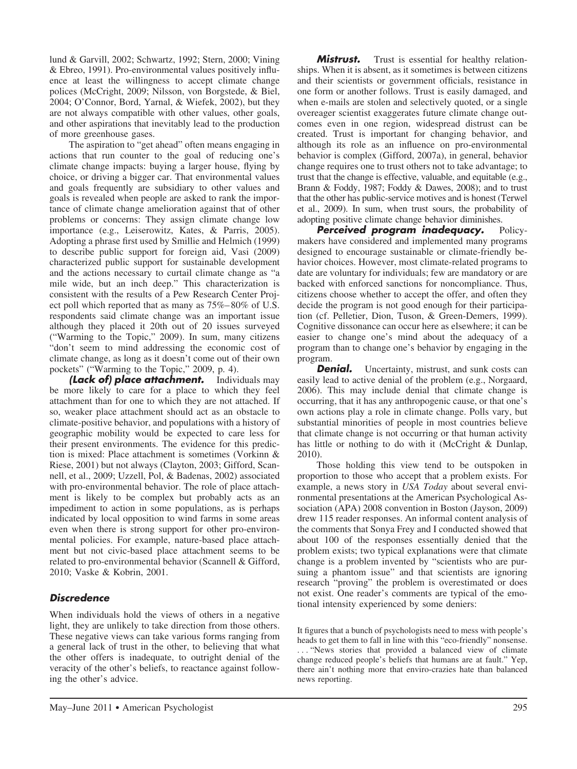lund & Garvill, 2002; Schwartz, 1992; Stern, 2000; Vining & Ebreo, 1991). Pro-environmental values positively influence at least the willingness to accept climate change polices (McCright, 2009; Nilsson, von Borgstede, & Biel, 2004; O'Connor, Bord, Yarnal, & Wiefek, 2002), but they are not always compatible with other values, other goals, and other aspirations that inevitably lead to the production of more greenhouse gases.

The aspiration to "get ahead" often means engaging in actions that run counter to the goal of reducing one's climate change impacts: buying a larger house, flying by choice, or driving a bigger car. That environmental values and goals frequently are subsidiary to other values and goals is revealed when people are asked to rank the importance of climate change amelioration against that of other problems or concerns: They assign climate change low importance (e.g., Leiserowitz, Kates, & Parris, 2005). Adopting a phrase first used by Smillie and Helmich (1999) to describe public support for foreign aid, Vasi (2009) characterized public support for sustainable development and the actions necessary to curtail climate change as "a mile wide, but an inch deep." This characterization is consistent with the results of a Pew Research Center Project poll which reported that as many as 75%–80% of U.S. respondents said climate change was an important issue although they placed it 20th out of 20 issues surveyed ("Warming to the Topic," 2009). In sum, many citizens "don't seem to mind addressing the economic cost of climate change, as long as it doesn't come out of their own pockets" ("Warming to the Topic," 2009, p. 4).

*(Lack of) place attachment.* Individuals may be more likely to care for a place to which they feel attachment than for one to which they are not attached. If so, weaker place attachment should act as an obstacle to climate-positive behavior, and populations with a history of geographic mobility would be expected to care less for their present environments. The evidence for this prediction is mixed: Place attachment is sometimes (Vorkinn & Riese, 2001) but not always (Clayton, 2003; Gifford, Scannell, et al., 2009; Uzzell, Pol, & Badenas, 2002) associated with pro-environmental behavior. The role of place attachment is likely to be complex but probably acts as an impediment to action in some populations, as is perhaps indicated by local opposition to wind farms in some areas even when there is strong support for other pro-environmental policies. For example, nature-based place attachment but not civic-based place attachment seems to be related to pro-environmental behavior (Scannell & Gifford, 2010; Vaske & Kobrin, 2001.

#### *Discredence*

When individuals hold the views of others in a negative light, they are unlikely to take direction from those others. These negative views can take various forms ranging from a general lack of trust in the other, to believing that what the other offers is inadequate, to outright denial of the veracity of the other's beliefs, to reactance against following the other's advice.

**Mistrust.** Trust is essential for healthy relationships. When it is absent, as it sometimes is between citizens and their scientists or government officials, resistance in one form or another follows. Trust is easily damaged, and when e-mails are stolen and selectively quoted, or a single overeager scientist exaggerates future climate change outcomes even in one region, widespread distrust can be created. Trust is important for changing behavior, and although its role as an influence on pro-environmental behavior is complex (Gifford, 2007a), in general, behavior change requires one to trust others not to take advantage; to trust that the change is effective, valuable, and equitable (e.g., Brann & Foddy, 1987; Foddy & Dawes, 2008); and to trust that the other has public-service motives and is honest (Terwel et al., 2009). In sum, when trust sours, the probability of adopting positive climate change behavior diminishes.

**Perceived program inadequacy.** Policymakers have considered and implemented many programs designed to encourage sustainable or climate-friendly behavior choices. However, most climate-related programs to date are voluntary for individuals; few are mandatory or are backed with enforced sanctions for noncompliance. Thus, citizens choose whether to accept the offer, and often they decide the program is not good enough for their participation (cf. Pelletier, Dion, Tuson, & Green-Demers, 1999). Cognitive dissonance can occur here as elsewhere; it can be easier to change one's mind about the adequacy of a program than to change one's behavior by engaging in the program.

**Denial.** Uncertainty, mistrust, and sunk costs can easily lead to active denial of the problem (e.g., Norgaard, 2006). This may include denial that climate change is occurring, that it has any anthropogenic cause, or that one's own actions play a role in climate change. Polls vary, but substantial minorities of people in most countries believe that climate change is not occurring or that human activity has little or nothing to do with it (McCright & Dunlap, 2010).

Those holding this view tend to be outspoken in proportion to those who accept that a problem exists. For example, a news story in *USA Today* about several environmental presentations at the American Psychological Association (APA) 2008 convention in Boston (Jayson, 2009) drew 115 reader responses. An informal content analysis of the comments that Sonya Frey and I conducted showed that about 100 of the responses essentially denied that the problem exists; two typical explanations were that climate change is a problem invented by "scientists who are pursuing a phantom issue" and that scientists are ignoring research "proving" the problem is overestimated or does not exist. One reader's comments are typical of the emotional intensity experienced by some deniers:

It figures that a bunch of psychologists need to mess with people's heads to get them to fall in line with this "eco-friendly" nonsense. . . . "News stories that provided a balanced view of climate change reduced people's beliefs that humans are at fault." Yep, there ain't nothing more that enviro-crazies hate than balanced news reporting.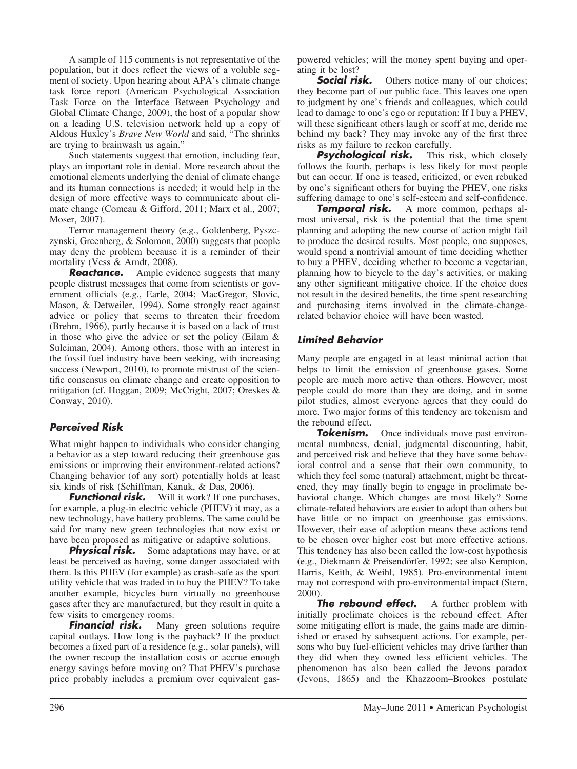A sample of 115 comments is not representative of the population, but it does reflect the views of a voluble segment of society. Upon hearing about APA's climate change task force report (American Psychological Association Task Force on the Interface Between Psychology and Global Climate Change, 2009), the host of a popular show on a leading U.S. television network held up a copy of Aldous Huxley's *Brave New World* and said, "The shrinks are trying to brainwash us again."

Such statements suggest that emotion, including fear, plays an important role in denial. More research about the emotional elements underlying the denial of climate change and its human connections is needed; it would help in the design of more effective ways to communicate about climate change (Comeau & Gifford, 2011; Marx et al., 2007; Moser, 2007).

Terror management theory (e.g., Goldenberg, Pyszczynski, Greenberg, & Solomon, 2000) suggests that people may deny the problem because it is a reminder of their mortality (Vess & Arndt, 2008).

**Reactance.** Ample evidence suggests that many people distrust messages that come from scientists or government officials (e.g., Earle, 2004; MacGregor, Slovic, Mason, & Detweiler, 1994). Some strongly react against advice or policy that seems to threaten their freedom (Brehm, 1966), partly because it is based on a lack of trust in those who give the advice or set the policy (Eilam & Suleiman, 2004). Among others, those with an interest in the fossil fuel industry have been seeking, with increasing success (Newport, 2010), to promote mistrust of the scientific consensus on climate change and create opposition to mitigation (cf. Hoggan, 2009; McCright, 2007; Oreskes & Conway, 2010).

#### *Perceived Risk*

What might happen to individuals who consider changing a behavior as a step toward reducing their greenhouse gas emissions or improving their environment-related actions? Changing behavior (of any sort) potentially holds at least six kinds of risk (Schiffman, Kanuk, & Das, 2006).

**Functional risk.** Will it work? If one purchases, for example, a plug-in electric vehicle (PHEV) it may, as a new technology, have battery problems. The same could be said for many new green technologies that now exist or have been proposed as mitigative or adaptive solutions.

**Physical risk.** Some adaptations may have, or at least be perceived as having, some danger associated with them. Is this PHEV (for example) as crash-safe as the sport utility vehicle that was traded in to buy the PHEV? To take another example, bicycles burn virtually no greenhouse gases after they are manufactured, but they result in quite a few visits to emergency rooms.

**Financial risk.** Many green solutions require capital outlays. How long is the payback? If the product becomes a fixed part of a residence (e.g., solar panels), will the owner recoup the installation costs or accrue enough energy savings before moving on? That PHEV's purchase price probably includes a premium over equivalent gaspowered vehicles; will the money spent buying and oper-

ating it be lost?<br>**Social risk.** Others notice many of our choices; they become part of our public face. This leaves one open to judgment by one's friends and colleagues, which could lead to damage to one's ego or reputation: If I buy a PHEV, will these significant others laugh or scoff at me, deride me behind my back? They may invoke any of the first three risks as my failure to reckon carefully.<br>**Psychological risk.** This r.

This risk, which closely follows the fourth, perhaps is less likely for most people but can occur. If one is teased, criticized, or even rebuked by one's significant others for buying the PHEV, one risks

suffering damage to one's self-esteem and self-confidence.<br> **Temporal risk.** A more common, perhaps al-*Temporal risk.* A more common, perhaps almost universal, risk is the potential that the time spent planning and adopting the new course of action might fail to produce the desired results. Most people, one supposes, would spend a nontrivial amount of time deciding whether to buy a PHEV, deciding whether to become a vegetarian, planning how to bicycle to the day's activities, or making any other significant mitigative choice. If the choice does not result in the desired benefits, the time spent researching and purchasing items involved in the climate-changerelated behavior choice will have been wasted.

#### *Limited Behavior*

Many people are engaged in at least minimal action that helps to limit the emission of greenhouse gases. Some people are much more active than others. However, most people could do more than they are doing, and in some pilot studies, almost everyone agrees that they could do more. Two major forms of this tendency are tokenism and the rebound effect.

**Tokenism.** Once individuals move past environmental numbness, denial, judgmental discounting, habit, and perceived risk and believe that they have some behavioral control and a sense that their own community, to which they feel some (natural) attachment, might be threatened, they may finally begin to engage in proclimate behavioral change. Which changes are most likely? Some climate-related behaviors are easier to adopt than others but have little or no impact on greenhouse gas emissions. However, their ease of adoption means these actions tend to be chosen over higher cost but more effective actions. This tendency has also been called the low-cost hypothesis (e.g., Diekmann & Preisendörfer, 1992; see also Kempton, Harris, Keith, & Weihl, 1985). Pro-environmental intent may not correspond with pro-environmental impact (Stern,

2000).<br>The rebound effect. A further problem with initially proclimate choices is the rebound effect. After some mitigating effort is made, the gains made are diminished or erased by subsequent actions. For example, persons who buy fuel-efficient vehicles may drive farther than they did when they owned less efficient vehicles. The phenomenon has also been called the Jevons paradox (Jevons, 1865) and the Khazzoom–Brookes postulate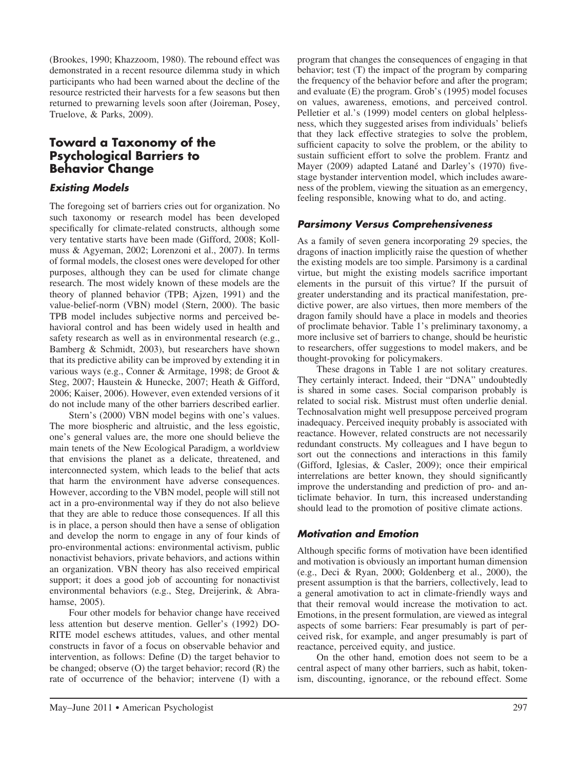(Brookes, 1990; Khazzoom, 1980). The rebound effect was demonstrated in a recent resource dilemma study in which participants who had been warned about the decline of the resource restricted their harvests for a few seasons but then returned to prewarning levels soon after (Joireman, Posey, Truelove, & Parks, 2009).

### **Toward a Taxonomy of the Psychological Barriers to Behavior Change**

#### *Existing Models*

The foregoing set of barriers cries out for organization. No such taxonomy or research model has been developed specifically for climate-related constructs, although some very tentative starts have been made (Gifford, 2008; Kollmuss & Agyeman, 2002; Lorenzoni et al., 2007). In terms of formal models, the closest ones were developed for other purposes, although they can be used for climate change research. The most widely known of these models are the theory of planned behavior (TPB; Ajzen, 1991) and the value-belief-norm (VBN) model (Stern, 2000). The basic TPB model includes subjective norms and perceived behavioral control and has been widely used in health and safety research as well as in environmental research (e.g., Bamberg & Schmidt, 2003), but researchers have shown that its predictive ability can be improved by extending it in various ways (e.g., Conner & Armitage, 1998; de Groot & Steg, 2007; Haustein & Hunecke, 2007; Heath & Gifford, 2006; Kaiser, 2006). However, even extended versions of it do not include many of the other barriers described earlier.

Stern's (2000) VBN model begins with one's values. The more biospheric and altruistic, and the less egoistic, one's general values are, the more one should believe the main tenets of the New Ecological Paradigm, a worldview that envisions the planet as a delicate, threatened, and interconnected system, which leads to the belief that acts that harm the environment have adverse consequences. However, according to the VBN model, people will still not act in a pro-environmental way if they do not also believe that they are able to reduce those consequences. If all this is in place, a person should then have a sense of obligation and develop the norm to engage in any of four kinds of pro-environmental actions: environmental activism, public nonactivist behaviors, private behaviors, and actions within an organization. VBN theory has also received empirical support; it does a good job of accounting for nonactivist environmental behaviors (e.g., Steg, Dreijerink, & Abrahamse, 2005).

Four other models for behavior change have received less attention but deserve mention. Geller's (1992) DO-RITE model eschews attitudes, values, and other mental constructs in favor of a focus on observable behavior and intervention, as follows: Define (D) the target behavior to be changed; observe (O) the target behavior; record (R) the rate of occurrence of the behavior; intervene (I) with a program that changes the consequences of engaging in that behavior; test (T) the impact of the program by comparing the frequency of the behavior before and after the program; and evaluate (E) the program. Grob's (1995) model focuses on values, awareness, emotions, and perceived control. Pelletier et al.'s (1999) model centers on global helplessness, which they suggested arises from individuals' beliefs that they lack effective strategies to solve the problem, sufficient capacity to solve the problem, or the ability to sustain sufficient effort to solve the problem. Frantz and Mayer (2009) adapted Latané and Darley's (1970) fivestage bystander intervention model, which includes awareness of the problem, viewing the situation as an emergency, feeling responsible, knowing what to do, and acting.

#### *Parsimony Versus Comprehensiveness*

As a family of seven genera incorporating 29 species, the dragons of inaction implicitly raise the question of whether the existing models are too simple. Parsimony is a cardinal virtue, but might the existing models sacrifice important elements in the pursuit of this virtue? If the pursuit of greater understanding and its practical manifestation, predictive power, are also virtues, then more members of the dragon family should have a place in models and theories of proclimate behavior. Table 1's preliminary taxonomy, a more inclusive set of barriers to change, should be heuristic to researchers, offer suggestions to model makers, and be thought-provoking for policymakers.

These dragons in Table 1 are not solitary creatures. They certainly interact. Indeed, their "DNA" undoubtedly is shared in some cases. Social comparison probably is related to social risk. Mistrust must often underlie denial. Technosalvation might well presuppose perceived program inadequacy. Perceived inequity probably is associated with reactance. However, related constructs are not necessarily redundant constructs. My colleagues and I have begun to sort out the connections and interactions in this family (Gifford, Iglesias, & Casler, 2009); once their empirical interrelations are better known, they should significantly improve the understanding and prediction of pro- and anticlimate behavior. In turn, this increased understanding should lead to the promotion of positive climate actions.

#### *Motivation and Emotion*

Although specific forms of motivation have been identified and motivation is obviously an important human dimension (e.g., Deci & Ryan, 2000; Goldenberg et al., 2000), the present assumption is that the barriers, collectively, lead to a general amotivation to act in climate-friendly ways and that their removal would increase the motivation to act. Emotions, in the present formulation, are viewed as integral aspects of some barriers: Fear presumably is part of perceived risk, for example, and anger presumably is part of reactance, perceived equity, and justice.

On the other hand, emotion does not seem to be a central aspect of many other barriers, such as habit, tokenism, discounting, ignorance, or the rebound effect. Some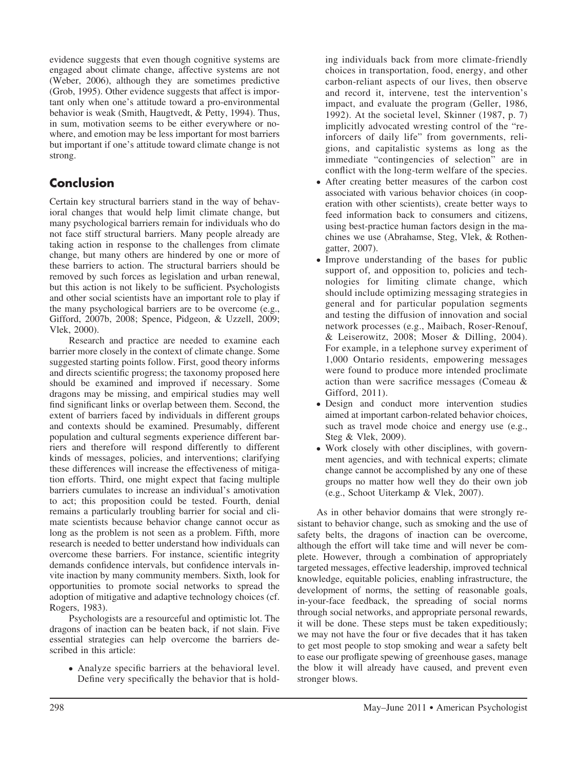evidence suggests that even though cognitive systems are engaged about climate change, affective systems are not (Weber, 2006), although they are sometimes predictive (Grob, 1995). Other evidence suggests that affect is important only when one's attitude toward a pro-environmental behavior is weak (Smith, Haugtvedt, & Petty, 1994). Thus, in sum, motivation seems to be either everywhere or nowhere, and emotion may be less important for most barriers but important if one's attitude toward climate change is not strong.

## **Conclusion**

Certain key structural barriers stand in the way of behavioral changes that would help limit climate change, but many psychological barriers remain for individuals who do not face stiff structural barriers. Many people already are taking action in response to the challenges from climate change, but many others are hindered by one or more of these barriers to action. The structural barriers should be removed by such forces as legislation and urban renewal, but this action is not likely to be sufficient. Psychologists and other social scientists have an important role to play if the many psychological barriers are to be overcome (e.g., Gifford, 2007b, 2008; Spence, Pidgeon, & Uzzell, 2009; Vlek, 2000).

Research and practice are needed to examine each barrier more closely in the context of climate change. Some suggested starting points follow. First, good theory informs and directs scientific progress; the taxonomy proposed here should be examined and improved if necessary. Some dragons may be missing, and empirical studies may well find significant links or overlap between them. Second, the extent of barriers faced by individuals in different groups and contexts should be examined. Presumably, different population and cultural segments experience different barriers and therefore will respond differently to different kinds of messages, policies, and interventions; clarifying these differences will increase the effectiveness of mitigation efforts. Third, one might expect that facing multiple barriers cumulates to increase an individual's amotivation to act; this proposition could be tested. Fourth, denial remains a particularly troubling barrier for social and climate scientists because behavior change cannot occur as long as the problem is not seen as a problem. Fifth, more research is needed to better understand how individuals can overcome these barriers. For instance, scientific integrity demands confidence intervals, but confidence intervals invite inaction by many community members. Sixth, look for opportunities to promote social networks to spread the adoption of mitigative and adaptive technology choices (cf. Rogers, 1983).

Psychologists are a resourceful and optimistic lot. The dragons of inaction can be beaten back, if not slain. Five essential strategies can help overcome the barriers described in this article:

● Analyze specific barriers at the behavioral level. Define very specifically the behavior that is holding individuals back from more climate-friendly choices in transportation, food, energy, and other carbon-reliant aspects of our lives, then observe and record it, intervene, test the intervention's impact, and evaluate the program (Geller, 1986, 1992). At the societal level, Skinner (1987, p. 7) implicitly advocated wresting control of the "reinforcers of daily life" from governments, religions, and capitalistic systems as long as the immediate "contingencies of selection" are in conflict with the long-term welfare of the species.

- After creating better measures of the carbon cost associated with various behavior choices (in cooperation with other scientists), create better ways to feed information back to consumers and citizens, using best-practice human factors design in the machines we use (Abrahamse, Steg, Vlek, & Rothengatter, 2007).
- Improve understanding of the bases for public support of, and opposition to, policies and technologies for limiting climate change, which should include optimizing messaging strategies in general and for particular population segments and testing the diffusion of innovation and social network processes (e.g., Maibach, Roser-Renouf, & Leiserowitz, 2008; Moser & Dilling, 2004). For example, in a telephone survey experiment of 1,000 Ontario residents, empowering messages were found to produce more intended proclimate action than were sacrifice messages (Comeau & Gifford, 2011).
- Design and conduct more intervention studies aimed at important carbon-related behavior choices, such as travel mode choice and energy use (e.g., Steg & Vlek, 2009).
- Work closely with other disciplines, with government agencies, and with technical experts; climate change cannot be accomplished by any one of these groups no matter how well they do their own job (e.g., Schoot Uiterkamp & Vlek, 2007).

As in other behavior domains that were strongly resistant to behavior change, such as smoking and the use of safety belts, the dragons of inaction can be overcome, although the effort will take time and will never be complete. However, through a combination of appropriately targeted messages, effective leadership, improved technical knowledge, equitable policies, enabling infrastructure, the development of norms, the setting of reasonable goals, in-your-face feedback, the spreading of social norms through social networks, and appropriate personal rewards, it will be done. These steps must be taken expeditiously; we may not have the four or five decades that it has taken to get most people to stop smoking and wear a safety belt to ease our profligate spewing of greenhouse gases, manage the blow it will already have caused, and prevent even stronger blows.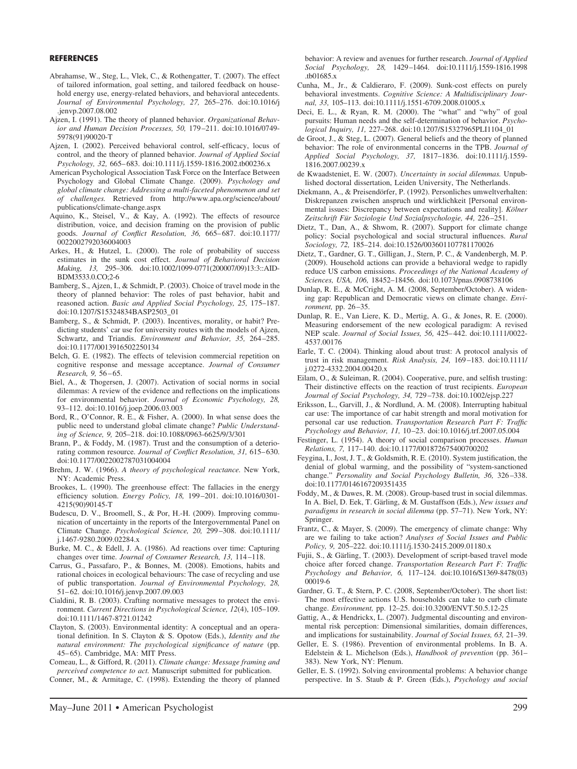#### **REFERENCES**

- Abrahamse, W., Steg, L., Vlek, C., & Rothengatter, T. (2007). The effect of tailored information, goal setting, and tailored feedback on household energy use, energy-related behaviors, and behavioral antecedents. *Journal of Environmental Psychology, 27,* 265–276. doi:10.1016/j .jenvp.2007.08.002
- Ajzen, I. (1991). The theory of planned behavior. *Organizational Behavior and Human Decision Processes, 50,* 179–211. doi:10.1016/0749- 5978(91)90020-T
- Ajzen, I. (2002). Perceived behavioral control, self-efficacy, locus of control, and the theory of planned behavior. *Journal of Applied Social Psychology, 32,* 665–683. doi:10.1111/j.1559-1816.2002.tb00236.x
- American Psychological Association Task Force on the Interface Between Psychology and Global Climate Change. (2009). *Psychology and global climate change: Addressing a multi-faceted phenomenon and set of challenges.* Retrieved from http://www.apa.org/science/about/ publications/climate-change.aspx
- Aquino, K., Steisel, V., & Kay, A. (1992). The effects of resource distribution, voice, and decision framing on the provision of public goods. *Journal of Conflict Resolution, 36,* 665–687. doi:10.1177/ 0022002792036004003
- Arkes, H., & Hutzel, L. (2000). The role of probability of success estimates in the sunk cost effect. *Journal of Behavioral Decision Making, 13,* 295–306. doi:10.1002/1099-0771(200007/09)13:3::AID-BDM3533.0.CO;2-6
- Bamberg, S., Ajzen, I., & Schmidt, P. (2003). Choice of travel mode in the theory of planned behavior: The roles of past behavior, habit and reasoned action. *Basic and Applied Social Psychology, 25,* 175–187. doi:10.1207/S15324834BASP2503\_01
- Bamberg, S., & Schmidt, P. (2003). Incentives, morality, or habit? Predicting students' car use for university routes with the models of Ajzen, Schwartz, and Triandis. *Environment and Behavior, 35,* 264–285. doi:10.1177/0013916502250134
- Belch, G. E. (1982). The effects of television commercial repetition on cognitive response and message acceptance. *Journal of Consumer Research, 9,* 56–65.
- Biel, A., & Thogersen, J. (2007). Activation of social norms in social dilemmas: A review of the evidence and reflections on the implications for environmental behavior. *Journal of Economic Psychology, 28,* 93–112. doi:10.1016/j.joep.2006.03.003
- Bord, R., O'Connor, R. E., & Fisher, A. (2000). In what sense does the public need to understand global climate change? *Public Understanding of Science, 9,* 205–218. doi:10.1088/0963-6625/9/3/301
- Brann, P., & Foddy, M. (1987). Trust and the consumption of a deteriorating common resource. *Journal of Conflict Resolution, 31,* 615–630. doi:10.1177/0022002787031004004
- Brehm, J. W. (1966). *A theory of psychological reactance.* New York, NY: Academic Press.
- Brookes, L. (1990). The greenhouse effect: The fallacies in the energy efficiency solution. *Energy Policy, 18,* 199–201. doi:10.1016/0301- 4215(90)90145-T
- Budescu, D. V., Broomell, S., & Por, H.-H. (2009). Improving communication of uncertainty in the reports of the Intergovernmental Panel on Climate Change. *Psychological Science, 20,* 299–308. doi:10.1111/ j.1467-9280.2009.02284.x
- Burke, M. C., & Edell, J. A. (1986). Ad reactions over time: Capturing changes over time. *Journal of Consumer Research, 13,* 114–118.
- Carrus, G., Passafaro, P., & Bonnes, M. (2008). Emotions, habits and rational choices in ecological behaviours: The case of recycling and use of public transportation. *Journal of Environmental Psychology, 28,* 51–62. doi:10.1016/j.jenvp.2007.09.003
- Cialdini, R. B. (2003). Crafting normative messages to protect the environment. *Current Directions in Psychological Science, 12*(4), 105–109. doi:10.1111/1467-8721.01242
- Clayton, S. (2003). Environmental identity: A conceptual and an operational definition. In S. Clayton & S. Opotow (Eds.), *Identity and the natural environment: The psychological significance of nature* (pp. 45–65). Cambridge, MA: MIT Press.
- Comeau, L., & Gifford, R. (2011). *Climate change: Message framing and perceived competence to act.* Manuscript submitted for publication.
- Conner, M., & Armitage, C. (1998). Extending the theory of planned

behavior: A review and avenues for further research. *Journal of Applied Social Psychology, 28,* 1429–1464. doi:10.1111/j.1559-1816.1998 .tb01685.x

- Cunha, M., Jr., & Caldieraro, F. (2009). Sunk-cost effects on purely behavioral investments. *Cognitive Science: A Multidisciplinary Journal, 33,* 105–113. doi:10.1111/j.1551-6709.2008.01005.x
- Deci, E. L., & Ryan, R. M. (2000). The "what" and "why" of goal pursuits: Human needs and the self-determination of behavior. *Psychological Inquiry, 11,* 227–268. doi:10.1207/S15327965PLI1104\_01
- de Groot, J., & Steg, L. (2007). General beliefs and the theory of planned behavior: The role of environmental concerns in the TPB. *Journal of Applied Social Psychology, 37,* 1817–1836. doi:10.1111/j.1559- 1816.2007.00239.x
- de Kwaadsteniet, E. W. (2007). *Uncertainty in social dilemmas.* Unpublished doctoral dissertation, Leiden University, The Netherlands.
- Diekmann, A., & Preisendörfer, P. (1992). Personliches umweltverhalten: Diskrepanzen zwischen anspruch und wirklichkeit [Personal environmental issues: Discrepancy between expectations and reality]. *Kölner Zeitschrift Fu¨r Soziologie Und Sozialpsychologie, 44,* 226–251.
- Dietz, T., Dan, A., & Shwom, R. (2007). Support for climate change policy: Social psychological and social structural influences. *Rural Sociology, 72,* 185–214. doi:10.1526/003601107781170026
- Dietz, T., Gardner, G. T., Gilligan, J., Stern, P. C., & Vandenbergh, M. P. (2009). Household actions can provide a behavioral wedge to rapidly reduce US carbon emissions. *Proceedings of the National Academy of Sciences, USA, 106,* 18452–18456. doi:10.1073/pnas.0908738106
- Dunlap, R. E., & McCright, A. M. (2008, September/October). A widening gap: Republican and Democratic views on climate change. *Environment,* pp. 26–35.
- Dunlap, R. E., Van Liere, K. D., Mertig, A. G., & Jones, R. E. (2000). Measuring endorsement of the new ecological paradigm: A revised NEP scale. *Journal of Social Issues, 56,* 425–442. doi:10.1111/0022- 4537.00176
- Earle, T. C. (2004). Thinking aloud about trust: A protocol analysis of trust in risk management. *Risk Analysis, 24,* 169–183. doi:10.1111/ j.0272-4332.2004.00420.x
- Eilam, O., & Suleiman, R. (2004). Cooperative, pure, and selfish trusting: Their distinctive effects on the reaction of trust recipients. *European Journal of Social Psychology, 34,* 729–738. doi:10.1002/ejsp.227
- Eriksson, L., Garvill, J., & Nordlund, A. M. (2008). Interrupting habitual car use: The importance of car habit strength and moral motivation for personal car use reduction. *Transportation Research Part F: Traffic Psychology and Behavior, 11,* 10–23. doi:10.1016/j.trf.2007.05.004
- Festinger, L. (1954). A theory of social comparison processes. *Human Relations, 7,* 117–140. doi:10.1177/001872675400700202
- Feygina, I., Jost, J. T., & Goldsmith, R. E. (2010). System justification, the denial of global warming, and the possibility of "system-sanctioned change." *Personality and Social Psychology Bulletin, 36,* 326–338. doi:10.1177/0146167209351435
- Foddy, M., & Dawes, R. M. (2008). Group-based trust in social dilemmas. In A. Biel, D. Eek, T. Gärling, & M. Gustaffson (Eds.), *New issues and paradigms in research in social dilemma* (pp. 57–71). New York, NY: Springer.
- Frantz, C., & Mayer, S. (2009). The emergency of climate change: Why are we failing to take action? *Analyses of Social Issues and Public Policy, 9,* 205–222. doi:10.1111/j.1530-2415.2009.01180.x
- Fujii, S., & Gärling, T. (2003). Development of script-based travel mode choice after forced change. *Transportation Research Part F: Traffic Psychology and Behavior, 6,* 117–124. doi:10.1016/S1369-8478(03) 00019-6
- Gardner, G. T., & Stern, P. C. (2008, September/October). The short list: The most effective actions U.S. households can take to curb climate change. *Environment,* pp. 12–25. doi:10.3200/ENVT.50.5.12-25
- Gattig, A., & Hendrickx, L. (2007). Judgmental discounting and environmental risk perception: Dimensional similarities, domain differences, and implications for sustainability. *Journal of Social Issues, 63,* 21–39.
- Geller, E. S. (1986). Prevention of environmental problems. In B. A. Edelstein & L. Michelson (Eds.), *Handbook of prevention* (pp. 361– 383). New York, NY: Plenum.
- Geller, E. S. (1992). Solving environmental problems: A behavior change perspective. In S. Staub & P. Green (Eds.), *Psychology and social*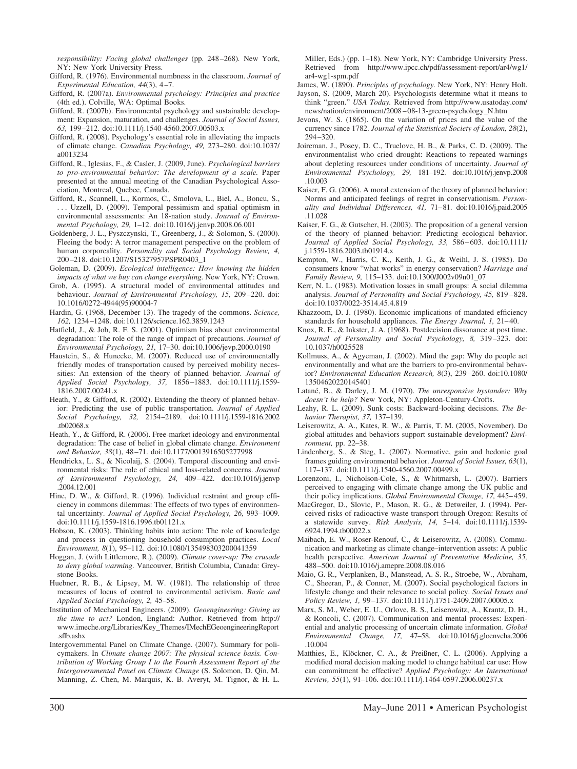*responsibility: Facing global challenges* (pp. 248–268)*.* New York, NY: New York University Press.

- Gifford, R. (1976). Environmental numbness in the classroom. *Journal of Experimental Education, 44*(3), 4–7.
- Gifford, R. (2007a). *Environmental psychology: Principles and practice* (4th ed.). Colville, WA: Optimal Books.
- Gifford, R. (2007b). Environmental psychology and sustainable development: Expansion, maturation, and challenges. *Journal of Social Issues, 63,* 199–212. doi:10.1111/j.1540-4560.2007.00503.x
- Gifford, R. (2008). Psychology's essential role in alleviating the impacts of climate change. *Canadian Psychology, 49,* 273–280. doi:10.1037/ a0013234
- Gifford, R., Iglesias, F., & Casler, J. (2009, June). *Psychological barriers to pro-environmental behavior: The development of a scale.* Paper presented at the annual meeting of the Canadian Psychological Association, Montreal, Quebec, Canada.
- Gifford, R., Scannell, L., Kormos, C., Smolova, L., Biel, A., Boncu, S., . . . Uzzell, D. (2009). Temporal pessimism and spatial optimism in environmental assessments: An 18-nation study. *Journal of Environmental Psychology, 29,* 1–12. doi:10.1016/j.jenvp.2008.06.001
- Goldenberg, J. L., Pyszczynski, T., Greenberg, J., & Solomon, S. (2000). Fleeing the body: A terror management perspective on the problem of human corporeality. *Personality and Social Psychology Review, 4,* 200–218. doi:10.1207/S15327957PSPR0403\_1
- Goleman, D. (2009). *Ecological intelligence: How knowing the hidden impacts of what we buy can change everything.* New York, NY: Crown.
- Grob, A. (1995). A structural model of environmental attitudes and behaviour. *Journal of Environmental Psychology, 15,* 209–220. doi: 10.1016/0272-4944(95)90004-7
- Hardin, G. (1968, December 13). The tragedy of the commons. *Science, 162,* 1234–1248. doi:10.1126/science.162.3859.1243
- Hatfield, J., & Job, R. F. S. (2001). Optimism bias about environmental degradation: The role of the range of impact of precautions. *Journal of Environmental Psychology, 21,* 17–30. doi:10.1006/jevp.2000.0190
- Haustein, S., & Hunecke, M. (2007). Reduced use of environmentally friendly modes of transportation caused by perceived mobility necessities: An extension of the theory of planned behavior. *Journal of Applied Social Psychology, 37,* 1856–1883. doi:10.1111/j.1559- 1816.2007.00241.x
- Heath, Y., & Gifford, R. (2002). Extending the theory of planned behavior: Predicting the use of public transportation. *Journal of Applied Social Psychology, 32,* 2154–2189. doi:10.1111/j.1559-1816.2002 .tb02068.x
- Heath, Y., & Gifford, R. (2006). Free-market ideology and environmental degradation: The case of belief in global climate change. *Environment and Behavior, 38*(1), 48–71. doi:10.1177/0013916505277998
- Hendrickx, L. S., & Nicolaij, S. (2004). Temporal discounting and environmental risks: The role of ethical and loss-related concerns. *Journal of Environmental Psychology, 24,* 409–422. doi:10.1016/j.jenvp .2004.12.001
- Hine, D. W., & Gifford, R. (1996). Individual restraint and group efficiency in commons dilemmas: The effects of two types of environmental uncertainty. *Journal of Applied Social Psychology, 26,* 993–1009. doi:10.1111/j.1559-1816.1996.tb01121.x
- Hobson, K. (2003). Thinking habits into action: The role of knowledge and process in questioning household consumption practices. *Local Environment, 8*(1), 95–112. doi:10.1080/135498303200041359
- Hoggan, J. (with Littlemore, R.). (2009). *Climate cover-up: The crusade to deny global warming.* Vancouver, British Columbia, Canada: Greystone Books.
- Huebner, R. B., & Lipsey, M. W. (1981). The relationship of three measures of locus of control to environmental activism. *Basic and Applied Social Psychology, 2,* 45–58.
- Institution of Mechanical Engineers. (2009). *Geoengineering: Giving us the time to act?* London, England: Author. Retrieved from http:// www.imeche.org/Libraries/Key\_Themes/IMechEGeoengineeringReport .sflb.ashx
- Intergovernmental Panel on Climate Change. (2007). Summary for policymakers. In *Climate change 2007: The physical science basis. Contribution of Working Group I to the Fourth Assessment Report of the Intergovernmental Panel on Climate Change* (S. Solomon, D. Qin, M. Manning, Z. Chen, M. Marquis, K. B. Averyt, M. Tignor, & H. L.

Miller, Eds.) (pp. 1–18). New York, NY: Cambridge University Press. Retrieved from http://www.ipcc.ch/pdf/assessment-report/ar4/wg1/ ar4-wg1-spm.pdf

James, W. (1890). *Principles of psychology.* New York, NY: Henry Holt.

- Jayson, S. (2009, March 20). Psychologists determine what it means to think "green." *USA Today.* Retrieved from http://www.usatoday.com/ news/nation/environment/2008–08-13-green-psychology\_N.htm
- Jevons, W. S. (1865). On the variation of prices and the value of the currency since 1782. *Journal of the Statistical Society of London, 28*(2), 294–320.
- Joireman, J., Posey, D. C., Truelove, H. B., & Parks, C. D. (2009). The environmentalist who cried drought: Reactions to repeated warnings about depleting resources under conditions of uncertainty. *Journal of Environmental Psychology, 29,* 181–192. doi:10.1016/j.jenvp.2008 .10.003
- Kaiser, F. G. (2006). A moral extension of the theory of planned behavior: Norms and anticipated feelings of regret in conservationism. *Personality and Individual Differences, 41,* 71–81. doi:10.1016/j.paid.2005 .11.028
- Kaiser, F. G., & Gutscher, H. (2003). The proposition of a general version of the theory of planned behavior: Predicting ecological behavior. *Journal of Applied Social Psychology, 33,* 586–603. doi:10.1111/ j.1559-1816.2003.tb01914.x
- Kempton, W., Harris, C. K., Keith, J. G., & Weihl, J. S. (1985). Do consumers know "what works" in energy conservation? *Marriage and Family Review, 9,* 115–133. doi:10.1300/J002v09n01\_07
- Kerr, N. L. (1983). Motivation losses in small groups: A social dilemma analysis. *Journal of Personality and Social Psychology, 45,* 819–828. doi:10.1037/0022-3514.45.4.819
- Khazzoom, D. J. (1980). Economic implications of mandated efficiency standards for household appliances. *The Energy Journal, 1,* 21–40.
- Knox, R. E., & Inkster, J. A. (1968). Postdecision dissonance at post time. *Journal of Personality and Social Psychology, 8,* 319–323. doi: 10.1037/h0025528
- Kollmuss, A., & Agyeman, J. (2002). Mind the gap: Why do people act environmentally and what are the barriers to pro-environmental behavior? *Environmental Education Research, 8*(3), 239–260. doi:10.1080/ 13504620220145401
- Latané, B., & Darley, J. M. (1970). *The unresponsive bystander: Why doesn't he help?* New York, NY: Appleton-Century-Crofts.
- Leahy, R. L. (2009). Sunk costs: Backward-looking decisions. *The Behavior Therapist, 37,* 137–139.
- Leiserowitz, A. A., Kates, R. W., & Parris, T. M. (2005, November). Do global attitudes and behaviors support sustainable development? *Environment,* pp. 22–38.
- Lindenberg, S., & Steg, L. (2007). Normative, gain and hedonic goal frames guiding environmental behavior. *Journal of Social Issues, 63*(1), 117–137. doi:10.1111/j.1540-4560.2007.00499.x
- Lorenzoni, I., Nicholson-Cole, S., & Whitmarsh, L. (2007). Barriers perceived to engaging with climate change among the UK public and their policy implications. *Global Environmental Change, 17,* 445–459.
- MacGregor, D., Slovic, P., Mason, R. G., & Detweiler, J. (1994). Perceived risks of radioactive waste transport through Oregon: Results of a statewide survey. *Risk Analysis, 14,* 5–14. doi:10.1111/j.1539- 6924.1994.tb00022.x
- Maibach, E. W., Roser-Renouf, C., & Leiserowitz, A. (2008). Communication and marketing as climate change–intervention assets: A public health perspective. *American Journal of Preventative Medicine, 35,* 488–500. doi:10.1016/j.amepre.2008.08.016
- Maio, G. R., Verplanken, B., Manstead, A. S. R., Stroebe, W., Abraham, C., Sheeran, P., & Conner, M. (2007). Social psychological factors in lifestyle change and their relevance to social policy. *Social Issues and Policy Review, 1,* 99–137. doi:10.1111/j.1751-2409.2007.00005.x
- Marx, S. M., Weber, E. U., Orlove, B. S., Leiserowitz, A., Krantz, D. H., & Roncoli, C. (2007). Communication and mental processes: Experiential and analytic processing of uncertain climate information. *Global Environmental Change, 17,* 47–58. doi:10.1016/j.gloenvcha.2006 .10.004
- Matthies, E., Klöckner, C. A., & Preißner, C. L. (2006). Applying a modified moral decision making model to change habitual car use: How can commitment be effective? *Applied Psychology: An International Review, 55*(1), 91–106. doi:10.1111/j.1464-0597.2006.00237.x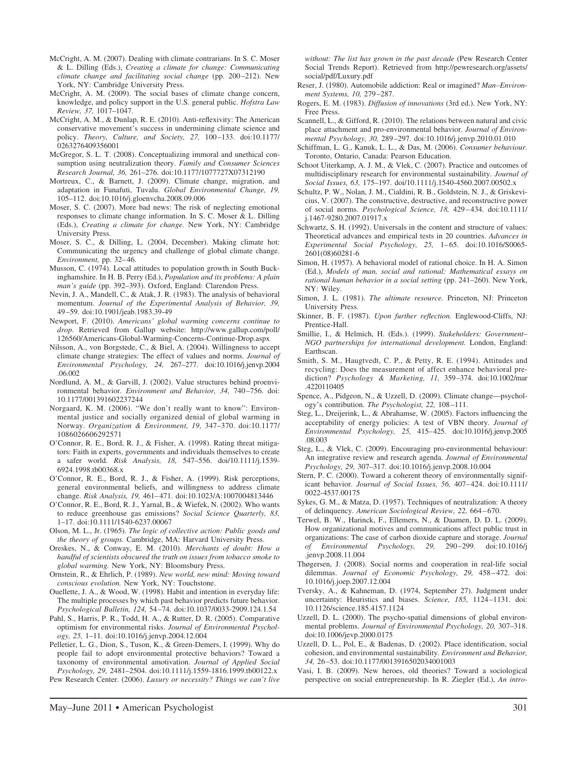- McCright, A. M. (2007). Dealing with climate contrarians. In S. C. Moser & L. Dilling (Eds.), *Creating a climate for change: Communicating climate change and facilitating social change* (pp. 200–212). New York, NY: Cambridge University Press.
- McCright, A. M. (2009). The social bases of climate change concern, knowledge, and policy support in the U.S. general public. *Hofstra Law Review, 37,* 1017–1047.
- McCright, A. M., & Dunlap, R. E. (2010). Anti-reflexivity: The American conservative movement's success in undermining climate science and policy. *Theory, Culture, and Society, 27,* 100–133. doi:10.1177/ 0263276409356001
- McGregor, S. L. T. (2008). Conceptualizing immoral and unethical consumption using neutralization theory. *Family and Consumer Sciences Research Journal, 36,* 261–276. doi:10.1177/1077727X07312190
- Mortreux, C., & Barnett, J. (2009). Climate change, migration, and adaptation in Funafuti, Tuvalu. *Global Environmental Change, 19,* 105–112. doi:10.1016/j.gloenvcha.2008.09.006
- Moser, S. C. (2007). More bad news: The risk of neglecting emotional responses to climate change information. In S. C. Moser & L. Dilling (Eds.), *Creating a climate for change.* New York, NY: Cambridge University Press.
- Moser, S. C., & Dilling, L. (2004, December). Making climate hot: Communicating the urgency and challenge of global climate change. *Environment,* pp. 32–46.
- Musson, C. (1974). Local attitudes to population growth in South Buckinghamshire. In H. B. Perry (Ed.), *Population and its problems: A plain man's guide* (pp. 392–393). Oxford, England: Clarendon Press.
- Nevin, J. A., Mandell, C., & Atak, J. R. (1983). The analysis of behavioral momentum. *Journal of the Experimental Analysis of Behavior, 39,* 49–59. doi:10.1901/jeab.1983.39-49
- Newport, F. (2010). *Americans' global warming concerns continue to drop*. Retrieved from Gallup website: http://www.gallup.com/poll/ 126560/Americans-Global-Warming-Concerns-Continue-Drop.aspx
- Nilsson, A., von Borgstede, C., & Biel, A. (2004). Willingness to accept climate change strategies: The effect of values and norms. *Journal of Environmental Psychology, 24,* 267–277. doi:10.1016/j.jenvp.2004 .06.002
- Nordlund, A. M., & Garvill, J. (2002). Value structures behind proenvironmental behavior. *Environment and Behavior, 34,* 740–756. doi: 10.1177/001391602237244
- Norgaard, K. M. (2006). "We don't really want to know": Environmental justice and socially organized denial of global warming in Norway. *Organization & Environment, 19,* 347–370. doi:10.1177/ 1086026606292571
- O'Connor, R. E., Bord, R. J., & Fisher, A. (1998). Rating threat mitigators: Faith in experts, governments and individuals themselves to create a safer world. *Risk Analysis, 18,* 547–556. doi/10.1111/j.1539- 6924.1998.tb00368.x
- O'Connor, R. E., Bord, R. J., & Fisher, A. (1999). Risk perceptions, general environmental beliefs, and willingness to address climate change. *Risk Analysis, 19,* 461–471. doi:10.1023/A:1007004813446
- O'Connor, R. E., Bord, R. J., Yarnal, B., & Wiefek, N. (2002). Who wants to reduce greenhouse gas emissions? *Social Science Quarterly, 83,* 1–17. doi:10.1111/1540-6237.00067
- Olson, M. L., Jr. (1965). *The logic of collective action: Public goods and the theory of groups.* Cambridge, MA: Harvard University Press.
- Oreskes, N., & Conway, E. M. (2010). *Merchants of doubt: How a handful of scientists obscured the truth on issues from tobacco smoke to global warming.* New York, NY: Bloomsbury Press.
- Ornstein, R., & Ehrlich, P. (1989). *New world, new mind: Moving toward conscious evolution.* New York, NY: Touchstone.
- Ouellette, J. A., & Wood, W. (1998). Habit and intention in everyday life: The multiple processes by which past behavior predicts future behavior. *Psychological Bulletin, 124,* 54–74. doi:10.1037/0033-2909.124.1.54
- Pahl, S., Harris, P. R., Todd, H. A., & Rutter, D. R. (2005). Comparative optimism for environmental risks. *Journal of Environmental Psychology, 25,* 1–11. doi:10.1016/j.jenvp.2004.12.004
- Pelletier, L. G., Dion, S., Tuson, K., & Green-Demers, I. (1999). Why do people fail to adopt environmental protective behaviors? Toward a taxonomy of environmental amotivation. *Journal of Applied Social Psychology, 29,* 2481–2504. doi:10.1111/j.1559-1816.1999.tb00122.x
- Pew Research Center. (2006). *Luxury or necessity? Things we can't live*

*without: The list has grown in the past decade* (Pew Research Center Social Trends Report). Retrieved from http://pewresearch.org/assets/ social/pdf/Luxury.pdf

- Reser, J. (1980). Automobile addiction: Real or imagined? *Man–Environment Systems, 10,* 279–287.
- Rogers, E. M. (1983). *Diffusion of innovations* (3rd ed.). New York, NY: Free Press.
- Scannell, L., & Gifford, R. (2010). The relations between natural and civic place attachment and pro-environmental behavior. *Journal of Environmental Psychology, 30,* 289–297. doi:10.1016/j.jenvp.2010.01.010
- Schiffman, L. G., Kanuk, L. L., & Das, M. (2006). *Consumer behaviour.* Toronto, Ontario, Canada: Pearson Education.
- Schoot Uiterkamp, A. J. M., & Vlek, C. (2007). Practice and outcomes of multidisciplinary research for environmental sustainability. *Journal of Social Issues, 63,* 175–197. doi/10.1111/j.1540-4560.2007.00502.x
- Schultz, P. W., Nolan, J. M., Cialdini, R. B., Goldstein, N. J., & Griskevicius, V. (2007). The constructive, destructive, and reconstructive power of social norms. *Psychological Science, 18,* 429–434. doi:10.1111/ j.1467-9280.2007.01917.x
- Schwartz, S. H. (1992). Universals in the content and structure of values: Theoretical advances and empirical tests in 20 countries. *Advances in Experimental Social Psychology, 25,* 1–65. doi:10.1016/S0065- 2601(08)60281-6
- Simon, H. (1957). A behavioral model of rational choice. In H. A. Simon (Ed.), *Models of man, social and rational: Mathematical essays on rational human behavior in a social setting* (pp. 241–260). New York, NY: Wiley.
- Simon, J. L. (1981). *The ultimate resource.* Princeton, NJ: Princeton University Press.
- Skinner, B. F. (1987). *Upon further reflection.* Englewood-Cliffs, NJ: Prentice-Hall.
- Smillie, I., & Helmich, H. (Eds.). (1999). *Stakeholders: Government– NGO partnerships for international development.* London, England: Earthscan.
- Smith, S. M., Haugtvedt, C. P., & Petty, R. E. (1994). Attitudes and recycling: Does the measurement of affect enhance behavioral prediction? *Psychology & Marketing, 11,* 359–374. doi:10.1002/mar .4220110405
- Spence, A., Pidgeon, N., & Uzzell, D. (2009). Climate change—psychology's contribution. *The Psychologist, 22,* 108–111.
- Steg, L., Dreijerink, L., & Abrahamse, W. (2005). Factors influencing the acceptability of energy policies: A test of VBN theory. *Journal of Environmental Psychology, 25,* 415–425. doi:10.1016/j.jenvp.2005 .08.003
- Steg, L., & Vlek, C. (2009). Encouraging pro-environmental behaviour: An integrative review and research agenda. *Journal of Environmental Psychology, 29,* 307–317. doi:10.1016/j.jenvp.2008.10.004
- Stern, P. C. (2000). Toward a coherent theory of environmentally significant behavior. *Journal of Social Issues, 56,* 407–424. doi:10.1111/ 0022-4537.00175
- Sykes, G. M., & Matza, D. (1957). Techniques of neutralization: A theory of delinquency. *American Sociological Review, 22,* 664–670.
- Terwel, B. W., Harinck, F., Ellemers, N., & Daamen, D. D. L. (2009). How organizational motives and communications affect public trust in organizations: The case of carbon dioxide capture and storage. *Journal of Environmental Psychology, 29,* 290–299. doi:10.1016/j .jenvp.2008.11.004
- Thøgersen, J. (2008). Social norms and cooperation in real-life social dilemmas. *Journal of Economic Psychology, 29,* 458–472. doi: 10.1016/j.joep.2007.12.004
- Tversky, A., & Kahneman, D. (1974, September 27). Judgment under uncertainty: Heuristics and biases. *Science, 185,* 1124–1131. doi: 10.1126/science.185.4157.1124
- Uzzell, D. L. (2000). The psycho-spatial dimensions of global environmental problems. *Journal of Environmental Psychology, 20,* 307–318. doi:10.1006/jevp.2000.0175
- Uzzell, D. L., Pol, E., & Badenas, D. (2002). Place identification, social cohesion, and environmental sustainability. *Environment and Behavior, 34,* 26–53. doi:10.1177/0013916502034001003
- Vasi, I. B. (2009). New heroes, old theories? Toward a sociological perspective on social entrepreneurship. In R. Ziegler (Ed.), *An intro-*